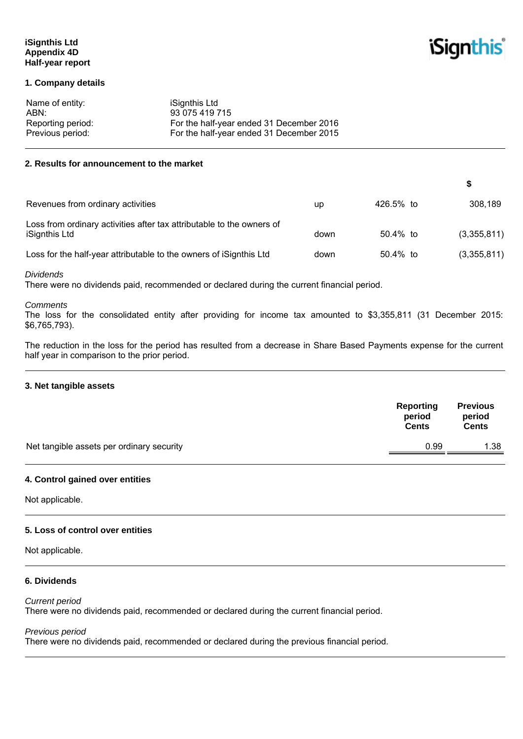# **iSignthis Ltd Appendix 4D Half-year report**

# **iSignthis**

**\$** 

# **1. Company details**

| Name of entity:   | iSignthis Ltd                            |
|-------------------|------------------------------------------|
| ABN:              | 93 075 419 715                           |
| Reporting period: | For the half-year ended 31 December 2016 |
| Previous period:  | For the half-year ended 31 December 2015 |

# **2. Results for announcement to the market**

| Revenues from ordinary activities                                                      | up   | 426.5% to   | 308,189     |
|----------------------------------------------------------------------------------------|------|-------------|-------------|
| Loss from ordinary activities after tax attributable to the owners of<br>iSignthis Ltd | down | 50.4% to    | (3,355,811) |
| Loss for the half-year attributable to the owners of iSignthis Ltd                     | down | $50.4\%$ to | (3,355,811) |

#### *Dividends*

There were no dividends paid, recommended or declared during the current financial period.

# *Comments*

The loss for the consolidated entity after providing for income tax amounted to \$3,355,811 (31 December 2015: \$6,765,793).

The reduction in the loss for the period has resulted from a decrease in Share Based Payments expense for the current half year in comparison to the prior period.

#### **3. Net tangible assets**

|                                           | Reporting<br>period<br><b>Cents</b> | <b>Previous</b><br>period<br><b>Cents</b> |
|-------------------------------------------|-------------------------------------|-------------------------------------------|
| Net tangible assets per ordinary security | 0.99                                | 1.38                                      |
|                                           |                                     |                                           |

#### **4. Control gained over entities**

Not applicable.

### **5. Loss of control over entities**

Not applicable.

# **6. Dividends**

### *Current period*

There were no dividends paid, recommended or declared during the current financial period.

#### *Previous period*

There were no dividends paid, recommended or declared during the previous financial period.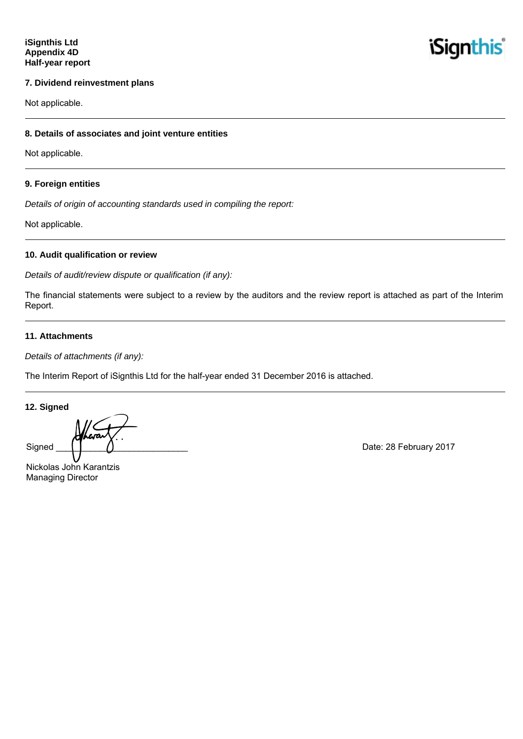

#### **7. Dividend reinvestment plans**

Not applicable.

#### **8. Details of associates and joint venture entities**

Not applicable.

#### **9. Foreign entities**

*Details of origin of accounting standards used in compiling the report:* 

Not applicable.

### **10. Audit qualification or review**

*Details of audit/review dispute or qualification (if any):* 

The financial statements were subject to a review by the auditors and the review report is attached as part of the Interim Report.

#### **11. Attachments**

*Details of attachments (if any):* 

The Interim Report of iSignthis Ltd for the half-year ended 31 December 2016 is attached.

**12. Signed** 

Signed  $\begin{pmatrix} 1 & 1 \end{pmatrix}$  Date: 28 February 2017

Nickolas John Karantzis Managing Director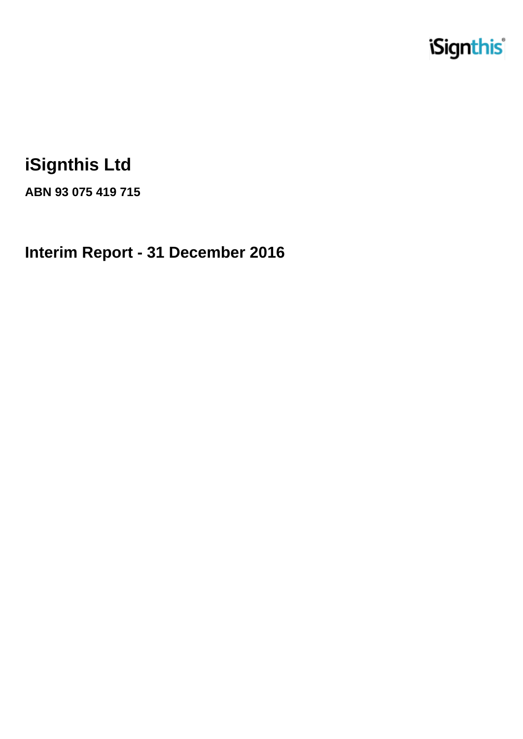

# **iSignthis Ltd**

**ABN 93 075 419 715**

**Interim Report - 31 December 2016**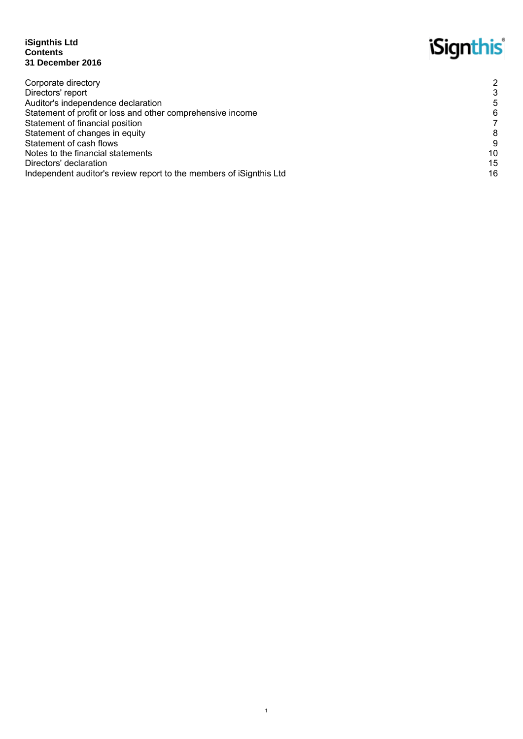### **iSignthis Ltd Contents 31 December 2016**

# *iSignthis*

| Corporate directory                                                 | $\overline{2}$ |
|---------------------------------------------------------------------|----------------|
| Directors' report                                                   |                |
| Auditor's independence declaration                                  | 5              |
| Statement of profit or loss and other comprehensive income          | 6              |
| Statement of financial position                                     |                |
| Statement of changes in equity                                      | 8              |
| Statement of cash flows                                             | 9              |
| Notes to the financial statements                                   | 10             |
| Directors' declaration                                              | 15             |
| Independent auditor's review report to the members of iSignthis Ltd | 16             |
|                                                                     |                |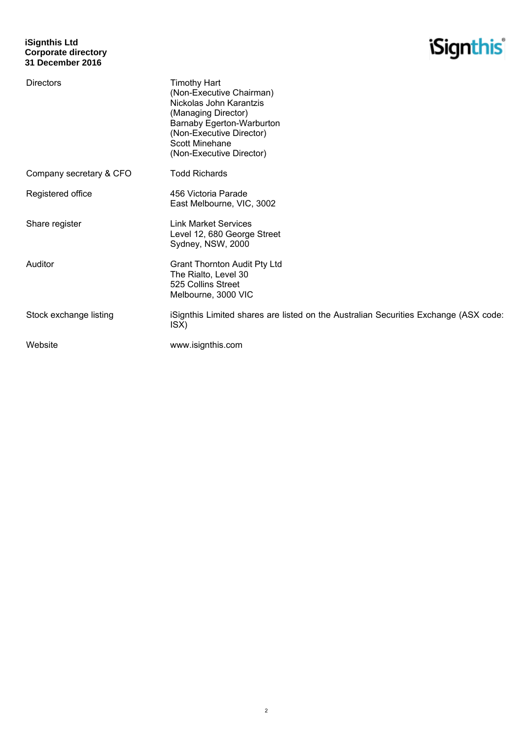# **iSignthis Ltd Corporate directory 31 December 2016**

# *iSignthis*

| <b>Directors</b>        | <b>Timothy Hart</b><br>(Non-Executive Chairman)<br>Nickolas John Karantzis<br>(Managing Director)<br>Barnaby Egerton-Warburton<br>(Non-Executive Director)<br><b>Scott Minehane</b><br>(Non-Executive Director) |
|-------------------------|-----------------------------------------------------------------------------------------------------------------------------------------------------------------------------------------------------------------|
| Company secretary & CFO | <b>Todd Richards</b>                                                                                                                                                                                            |
| Registered office       | 456 Victoria Parade<br>East Melbourne, VIC, 3002                                                                                                                                                                |
| Share register          | <b>Link Market Services</b><br>Level 12, 680 George Street<br>Sydney, NSW, 2000                                                                                                                                 |
| Auditor                 | <b>Grant Thornton Audit Pty Ltd</b><br>The Rialto, Level 30<br>525 Collins Street<br>Melbourne, 3000 VIC                                                                                                        |
| Stock exchange listing  | iSignthis Limited shares are listed on the Australian Securities Exchange (ASX code:<br>ISX)                                                                                                                    |
| Website                 | www.isignthis.com                                                                                                                                                                                               |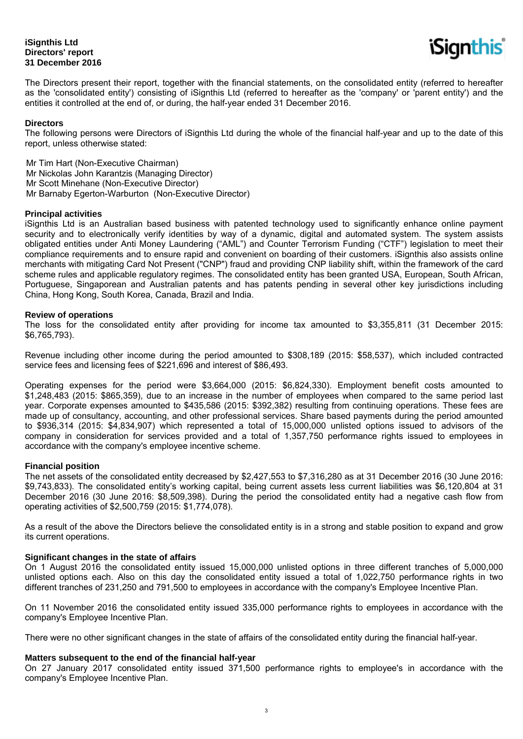### **iSignthis Ltd Directors' report 31 December 2016**



The Directors present their report, together with the financial statements, on the consolidated entity (referred to hereafter as the 'consolidated entity') consisting of iSignthis Ltd (referred to hereafter as the 'company' or 'parent entity') and the entities it controlled at the end of, or during, the half-year ended 31 December 2016.

#### **Directors**

The following persons were Directors of iSignthis Ltd during the whole of the financial half-year and up to the date of this report, unless otherwise stated:

Mr Tim Hart (Non-Executive Chairman) Mr Nickolas John Karantzis (Managing Director) Mr Scott Minehane (Non-Executive Director) Mr Barnaby Egerton-Warburton (Non-Executive Director)

#### **Principal activities**

iSignthis Ltd is an Australian based business with patented technology used to significantly enhance online payment security and to electronically verify identities by way of a dynamic, digital and automated system. The system assists obligated entities under Anti Money Laundering ("AML") and Counter Terrorism Funding ("CTF") legislation to meet their compliance requirements and to ensure rapid and convenient on boarding of their customers. iSignthis also assists online merchants with mitigating Card Not Present ("CNP") fraud and providing CNP liability shift, within the framework of the card scheme rules and applicable regulatory regimes. The consolidated entity has been granted USA, European, South African, Portuguese, Singaporean and Australian patents and has patents pending in several other key jurisdictions including China, Hong Kong, South Korea, Canada, Brazil and India.

#### **Review of operations**

The loss for the consolidated entity after providing for income tax amounted to \$3,355,811 (31 December 2015: \$6,765,793).

Revenue including other income during the period amounted to \$308,189 (2015: \$58,537), which included contracted service fees and licensing fees of \$221,696 and interest of \$86,493.

Operating expenses for the period were \$3,664,000 (2015: \$6,824,330). Employment benefit costs amounted to \$1,248,483 (2015: \$865,359), due to an increase in the number of employees when compared to the same period last year. Corporate expenses amounted to \$435,586 (2015: \$392,382) resulting from continuing operations. These fees are made up of consultancy, accounting, and other professional services. Share based payments during the period amounted to \$936,314 (2015: \$4,834,907) which represented a total of 15,000,000 unlisted options issued to advisors of the company in consideration for services provided and a total of 1,357,750 performance rights issued to employees in accordance with the company's employee incentive scheme.

#### **Financial position**

The net assets of the consolidated entity decreased by \$2,427,553 to \$7,316,280 as at 31 December 2016 (30 June 2016: \$9,743,833). The consolidated entity's working capital, being current assets less current liabilities was \$6,120,804 at 31 December 2016 (30 June 2016: \$8,509,398). During the period the consolidated entity had a negative cash flow from operating activities of \$2,500,759 (2015: \$1,774,078).

As a result of the above the Directors believe the consolidated entity is in a strong and stable position to expand and grow its current operations.

#### **Significant changes in the state of affairs**

On 1 August 2016 the consolidated entity issued 15,000,000 unlisted options in three different tranches of 5,000,000 unlisted options each. Also on this day the consolidated entity issued a total of 1,022,750 performance rights in two different tranches of 231,250 and 791,500 to employees in accordance with the company's Employee Incentive Plan.

On 11 November 2016 the consolidated entity issued 335,000 performance rights to employees in accordance with the company's Employee Incentive Plan.

There were no other significant changes in the state of affairs of the consolidated entity during the financial half-year.

#### **Matters subsequent to the end of the financial half-year**

On 27 January 2017 consolidated entity issued 371,500 performance rights to employee's in accordance with the company's Employee Incentive Plan.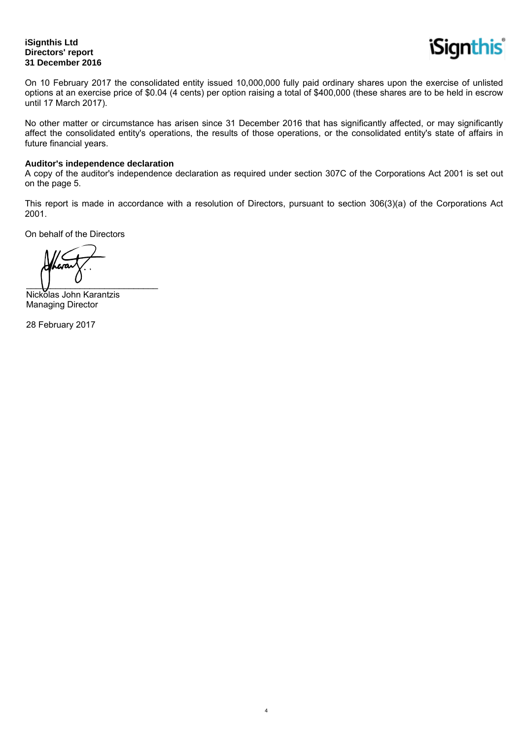# **iSignthis Ltd Directors' report 31 December 2016**



On 10 February 2017 the consolidated entity issued 10,000,000 fully paid ordinary shares upon the exercise of unlisted options at an exercise price of \$0.04 (4 cents) per option raising a total of \$400,000 (these shares are to be held in escrow until 17 March 2017).

No other matter or circumstance has arisen since 31 December 2016 that has significantly affected, or may significantly affect the consolidated entity's operations, the results of those operations, or the consolidated entity's state of affairs in future financial years.

# **Auditor's independence declaration**

A copy of the auditor's independence declaration as required under section 307C of the Corporations Act 2001 is set out on the page 5.

This report is made in accordance with a resolution of Directors, pursuant to section 306(3)(a) of the Corporations Act 2001.

4

On behalf of the Directors

 $\overline{\phantom{a}}$ 

Nickolas John Karantzis Managing Director

28 February 2017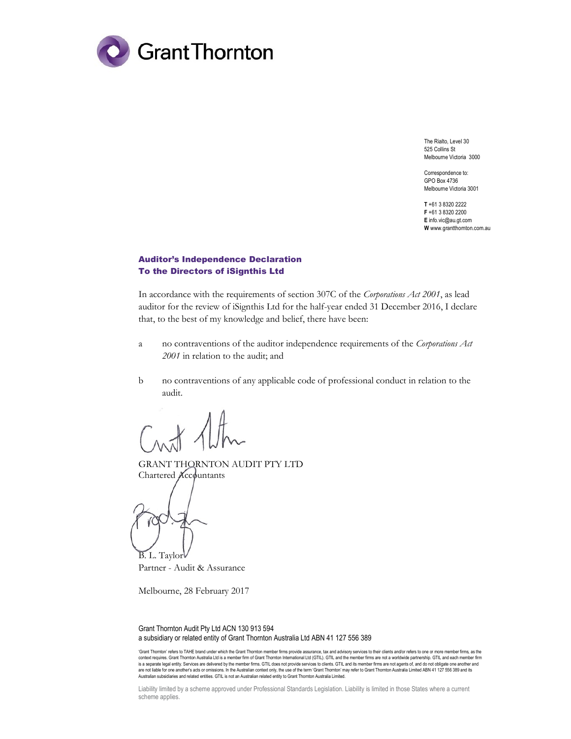

The Rialto, Level 30 525 Collins St Melbourne Victoria 3000

Correspondence to: GPO Box 4736 Melbourne Victoria 3001

T +61 3 8320 2222 F +61 3 8320 2200 E info.vic@au.gt.com W www.grantthornton.com.au

#### Auditor's Independence Declaration To the Directors of iSignthis Ltd

In accordance with the requirements of section 307C of the Corporations Act 2001, as lead auditor for the review of iSignthis Ltd for the half-year ended 31 December 2016, I declare that, to the best of my knowledge and belief, there have been:

- a no contraventions of the auditor independence requirements of the Corporations Act 2001 in relation to the audit; and
- b no contraventions of any applicable code of professional conduct in relation to the audit.

 $H$  Altr

GRANT THORNTON AUDIT PTY LTD Chartered Accountants

B. L. Taylor

Partner - Audit & Assurance

Melbourne, 28 February 2017

Grant Thornton Audit Pty Ltd ACN 130 913 594 a subsidiary or related entity of Grant Thornton Australia Ltd ABN 41 127 556 389

'Grant Thornton' refers to TAHE brand under which the Grant Thornton member firms provide assurance, tax and advisory services to their clients and/or refers to one or more member firms, as the<br>context requires. Grant Thor is a separate legal entity. Services are delivered by the member firms. GTIL does not provide services to clients. GTIL and its member firms are not agents of, and do not obligate one another and are not liable for one another's acts or omissions. In the Australian context only, the use of the term 'Grant Thornton' may refer to Grant Thornton Australia Limited ABN 41 127 556 389 and its are of the term 'Grant Thorn Australian subsidiaries and related entities. GTIL is not an Australian related entity to Grant Thornton Australia Limited.

Liability limited by a scheme approved under Professional Standards Legislation. Liability is limited in those States where a current scheme applies.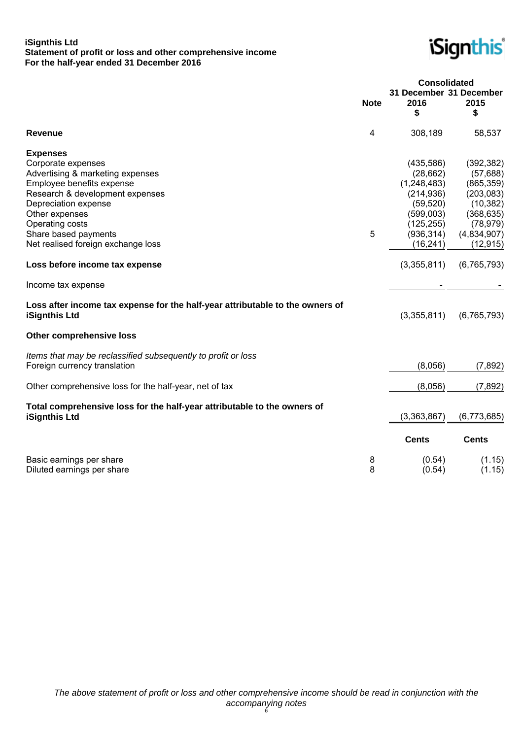### **iSignthis Ltd Statement of profit or loss and other comprehensive income For the half-year ended 31 December 2016**



|                                                                                                                                                                                                                                                                                                        |             | <b>Consolidated</b><br>31 December 31 December                                                                                        |                                                                                                                                        |
|--------------------------------------------------------------------------------------------------------------------------------------------------------------------------------------------------------------------------------------------------------------------------------------------------------|-------------|---------------------------------------------------------------------------------------------------------------------------------------|----------------------------------------------------------------------------------------------------------------------------------------|
|                                                                                                                                                                                                                                                                                                        | <b>Note</b> | 2016<br>\$                                                                                                                            | 2015<br>\$                                                                                                                             |
| <b>Revenue</b>                                                                                                                                                                                                                                                                                         | 4           | 308,189                                                                                                                               | 58,537                                                                                                                                 |
| <b>Expenses</b><br>Corporate expenses<br>Advertising & marketing expenses<br>Employee benefits expense<br>Research & development expenses<br>Depreciation expense<br>Other expenses<br>Operating costs<br>Share based payments<br>Net realised foreign exchange loss<br>Loss before income tax expense | 5           | (435,586)<br>(28, 662)<br>(1,248,483)<br>(214, 936)<br>(59, 520)<br>(599,003)<br>(125, 255)<br>(936, 314)<br>(16, 241)<br>(3,355,811) | (392, 382)<br>(57, 688)<br>(865, 359)<br>(203, 083)<br>(10, 382)<br>(368, 635)<br>(78, 979)<br>(4,834,907)<br>(12, 915)<br>(6,765,793) |
| Income tax expense                                                                                                                                                                                                                                                                                     |             |                                                                                                                                       |                                                                                                                                        |
| Loss after income tax expense for the half-year attributable to the owners of<br><b>iSignthis Ltd</b>                                                                                                                                                                                                  |             | (3,355,811)                                                                                                                           | (6, 765, 793)                                                                                                                          |
| <b>Other comprehensive loss</b>                                                                                                                                                                                                                                                                        |             |                                                                                                                                       |                                                                                                                                        |
| Items that may be reclassified subsequently to profit or loss<br>Foreign currency translation                                                                                                                                                                                                          |             | (8,056)                                                                                                                               | (7,892)                                                                                                                                |
| Other comprehensive loss for the half-year, net of tax                                                                                                                                                                                                                                                 |             | (8,056)                                                                                                                               | (7,892)                                                                                                                                |
| Total comprehensive loss for the half-year attributable to the owners of<br><b>iSignthis Ltd</b>                                                                                                                                                                                                       |             | (3, 363, 867)                                                                                                                         | (6,773,685)                                                                                                                            |
|                                                                                                                                                                                                                                                                                                        |             | <b>Cents</b>                                                                                                                          | <b>Cents</b>                                                                                                                           |
| Basic earnings per share<br>Diluted earnings per share                                                                                                                                                                                                                                                 | 8<br>8      | (0.54)<br>(0.54)                                                                                                                      | (1.15)<br>(1.15)                                                                                                                       |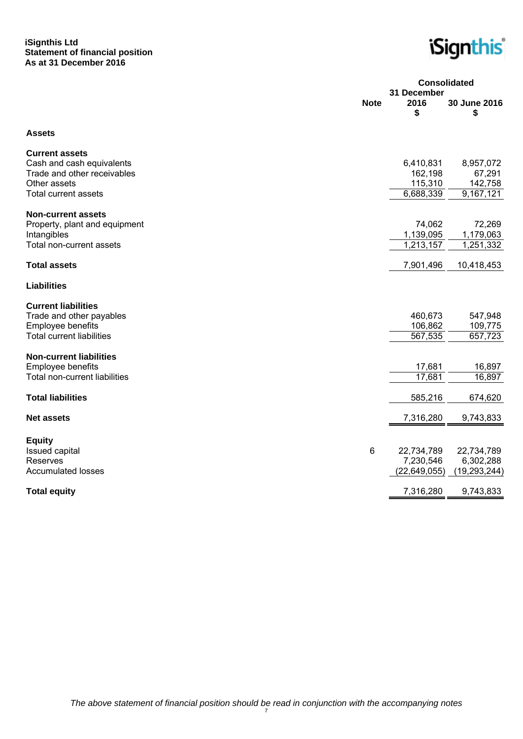### **iSignthis Ltd Statement of financial position As at 31 December 2016**

*iSignthis* 

|                                             | <b>Consolidated</b><br>31 December |                    |                    |
|---------------------------------------------|------------------------------------|--------------------|--------------------|
|                                             | <b>Note</b>                        | 2016<br>\$         | 30 June 2016<br>\$ |
| <b>Assets</b>                               |                                    |                    |                    |
| <b>Current assets</b>                       |                                    |                    |                    |
| Cash and cash equivalents                   |                                    | 6,410,831          | 8,957,072          |
| Trade and other receivables<br>Other assets |                                    | 162,198<br>115,310 | 67,291<br>142,758  |
| <b>Total current assets</b>                 |                                    | 6,688,339          | 9,167,121          |
|                                             |                                    |                    |                    |
| <b>Non-current assets</b>                   |                                    |                    |                    |
| Property, plant and equipment               |                                    | 74,062             | 72,269             |
| Intangibles                                 |                                    | 1,139,095          | 1,179,063          |
| Total non-current assets                    |                                    | 1,213,157          | 1,251,332          |
| <b>Total assets</b>                         |                                    | 7,901,496          | 10,418,453         |
| <b>Liabilities</b>                          |                                    |                    |                    |
| <b>Current liabilities</b>                  |                                    |                    |                    |
| Trade and other payables                    |                                    | 460,673            | 547,948            |
| Employee benefits                           |                                    | 106,862            | 109,775            |
| <b>Total current liabilities</b>            |                                    | 567,535            | 657,723            |
| <b>Non-current liabilities</b>              |                                    |                    |                    |
| Employee benefits                           |                                    | 17,681             | 16,897             |
| Total non-current liabilities               |                                    | 17,681             | 16,897             |
|                                             |                                    |                    |                    |
| <b>Total liabilities</b>                    |                                    | 585,216            | 674,620            |
| <b>Net assets</b>                           |                                    | 7,316,280          | 9,743,833          |
| <b>Equity</b>                               |                                    |                    |                    |
| <b>Issued capital</b>                       | 6                                  | 22,734,789         | 22,734,789         |
| Reserves                                    |                                    | 7,230,546          | 6,302,288          |
| <b>Accumulated losses</b>                   |                                    | (22, 649, 055)     | (19, 293, 244)     |
| <b>Total equity</b>                         |                                    | 7,316,280          | 9,743,833          |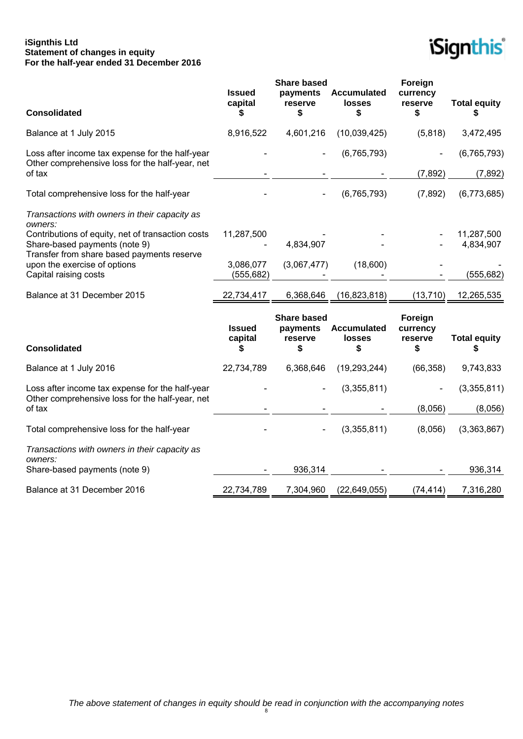### **iSignthis Ltd Statement of changes in equity For the half-year ended 31 December 2016**



| <b>Consolidated</b>                                                                                                              | <b>Issued</b><br>capital<br>S  | <b>Share based</b><br>payments<br>reserve<br>\$ | Accumulated<br>losses<br>\$        | Foreign<br>currency<br>reserve<br>\$ | <b>Total equity</b><br>S |
|----------------------------------------------------------------------------------------------------------------------------------|--------------------------------|-------------------------------------------------|------------------------------------|--------------------------------------|--------------------------|
| Balance at 1 July 2015                                                                                                           | 8,916,522                      | 4,601,216                                       | (10,039,425)                       | (5,818)                              | 3,472,495                |
| Loss after income tax expense for the half-year<br>Other comprehensive loss for the half-year, net                               |                                |                                                 | (6,765,793)                        |                                      | (6, 765, 793)            |
| of tax                                                                                                                           |                                |                                                 |                                    | (7, 892)                             | (7, 892)                 |
| Total comprehensive loss for the half-year                                                                                       |                                |                                                 | (6, 765, 793)                      | (7,892)                              | (6,773,685)              |
| Transactions with owners in their capacity as<br>owners:                                                                         |                                |                                                 |                                    |                                      |                          |
| Contributions of equity, net of transaction costs<br>Share-based payments (note 9)<br>Transfer from share based payments reserve | 11,287,500                     | 4,834,907                                       |                                    |                                      | 11,287,500<br>4,834,907  |
| upon the exercise of options<br>Capital raising costs                                                                            | 3,086,077<br>(555, 682)        | (3,067,477)                                     | (18,600)                           |                                      | (555, 682)               |
| Balance at 31 December 2015                                                                                                      | 22,734,417                     | 6,368,646                                       | (16, 823, 818)                     | (13, 710)                            | 12,265,535               |
| <b>Consolidated</b>                                                                                                              | <b>Issued</b><br>capital<br>\$ | <b>Share based</b><br>payments<br>reserve<br>\$ | <b>Accumulated</b><br>losses<br>\$ | Foreign<br>currency<br>reserve<br>\$ | <b>Total equity</b><br>S |
| Balance at 1 July 2016                                                                                                           | 22,734,789                     | 6,368,646                                       | (19, 293, 244)                     | (66, 358)                            | 9,743,833                |
| Loss after income tax expense for the half-year<br>Other comprehensive loss for the half-year, net                               |                                |                                                 | (3,355,811)                        |                                      | (3,355,811)              |
| of tax                                                                                                                           |                                |                                                 |                                    | (8,056)                              | (8,056)                  |
| Total comprehensive loss for the half-year                                                                                       |                                |                                                 | (3,355,811)                        | (8,056)                              | (3,363,867)              |
| Transactions with owners in their capacity as<br>owners:                                                                         |                                |                                                 |                                    |                                      |                          |
| Share-based payments (note 9)                                                                                                    |                                | 936,314                                         |                                    |                                      | 936,314                  |
| Balance at 31 December 2016                                                                                                      | 22,734,789                     | 7,304,960                                       | (22, 649, 055)                     | (74, 414)                            | 7,316,280                |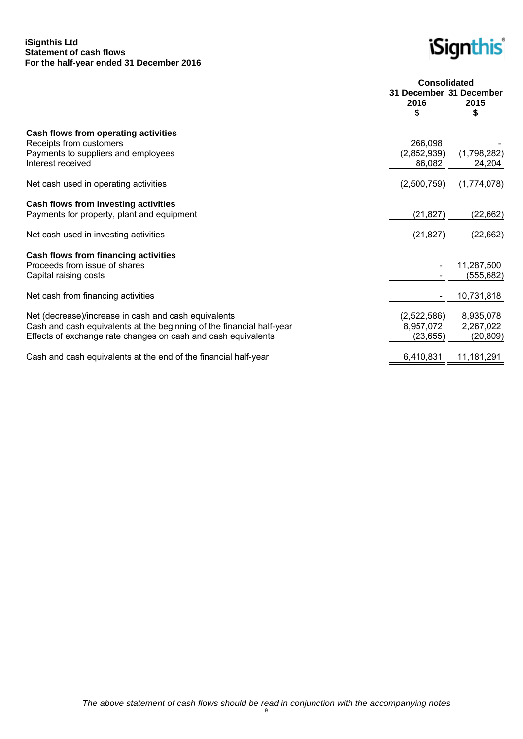### **iSignthis Ltd Statement of cash flows For the half-year ended 31 December 2016**

*iSignthis* 

|                                                                                                                                                                                                | <b>Consolidated</b>                   |                                     |  |
|------------------------------------------------------------------------------------------------------------------------------------------------------------------------------------------------|---------------------------------------|-------------------------------------|--|
|                                                                                                                                                                                                | 31 December 31 December<br>2016<br>\$ | 2015<br>S                           |  |
| Cash flows from operating activities<br>Receipts from customers<br>Payments to suppliers and employees<br>Interest received                                                                    | 266,098<br>(2,852,939)<br>86,082      | (1,798,282)<br>24,204               |  |
| Net cash used in operating activities                                                                                                                                                          | (2,500,759)                           | (1,774,078)                         |  |
| Cash flows from investing activities<br>Payments for property, plant and equipment                                                                                                             | (21, 827)                             | (22, 662)                           |  |
| Net cash used in investing activities                                                                                                                                                          | (21, 827)                             | (22,662)                            |  |
| Cash flows from financing activities<br>Proceeds from issue of shares<br>Capital raising costs                                                                                                 |                                       | 11,287,500<br>(555, 682)            |  |
| Net cash from financing activities                                                                                                                                                             |                                       | 10,731,818                          |  |
| Net (decrease)/increase in cash and cash equivalents<br>Cash and cash equivalents at the beginning of the financial half-year<br>Effects of exchange rate changes on cash and cash equivalents | (2,522,586)<br>8,957,072<br>(23, 655) | 8,935,078<br>2,267,022<br>(20, 809) |  |
| Cash and cash equivalents at the end of the financial half-year                                                                                                                                | 6,410,831                             | 11,181,291                          |  |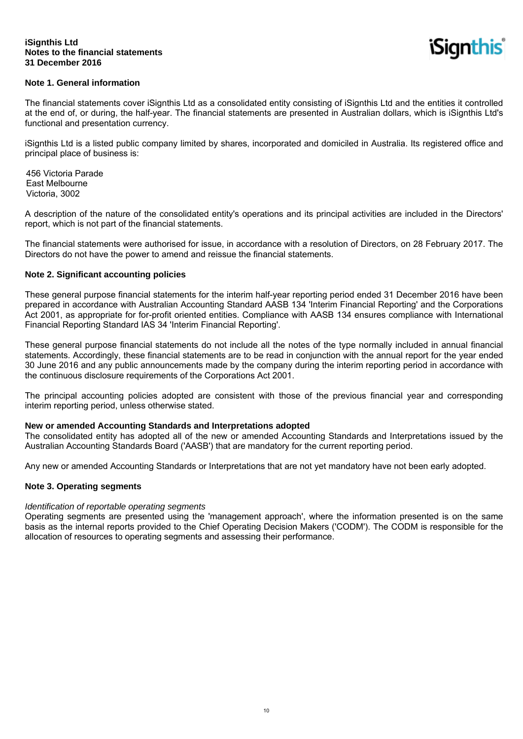iSignthis

# **Note 1. General information**

The financial statements cover iSignthis Ltd as a consolidated entity consisting of iSignthis Ltd and the entities it controlled at the end of, or during, the half-year. The financial statements are presented in Australian dollars, which is iSignthis Ltd's functional and presentation currency.

iSignthis Ltd is a listed public company limited by shares, incorporated and domiciled in Australia. Its registered office and principal place of business is:

456 Victoria Parade East Melbourne Victoria, 3002

A description of the nature of the consolidated entity's operations and its principal activities are included in the Directors' report, which is not part of the financial statements.

The financial statements were authorised for issue, in accordance with a resolution of Directors, on 28 February 2017. The Directors do not have the power to amend and reissue the financial statements.

#### **Note 2. Significant accounting policies**

These general purpose financial statements for the interim half-year reporting period ended 31 December 2016 have been prepared in accordance with Australian Accounting Standard AASB 134 'Interim Financial Reporting' and the Corporations Act 2001, as appropriate for for-profit oriented entities. Compliance with AASB 134 ensures compliance with International Financial Reporting Standard IAS 34 'Interim Financial Reporting'.

These general purpose financial statements do not include all the notes of the type normally included in annual financial statements. Accordingly, these financial statements are to be read in conjunction with the annual report for the year ended 30 June 2016 and any public announcements made by the company during the interim reporting period in accordance with the continuous disclosure requirements of the Corporations Act 2001.

The principal accounting policies adopted are consistent with those of the previous financial year and corresponding interim reporting period, unless otherwise stated.

#### **New or amended Accounting Standards and Interpretations adopted**

The consolidated entity has adopted all of the new or amended Accounting Standards and Interpretations issued by the Australian Accounting Standards Board ('AASB') that are mandatory for the current reporting period.

Any new or amended Accounting Standards or Interpretations that are not yet mandatory have not been early adopted.

#### **Note 3. Operating segments**

#### *Identification of reportable operating segments*

Operating segments are presented using the 'management approach', where the information presented is on the same basis as the internal reports provided to the Chief Operating Decision Makers ('CODM'). The CODM is responsible for the allocation of resources to operating segments and assessing their performance.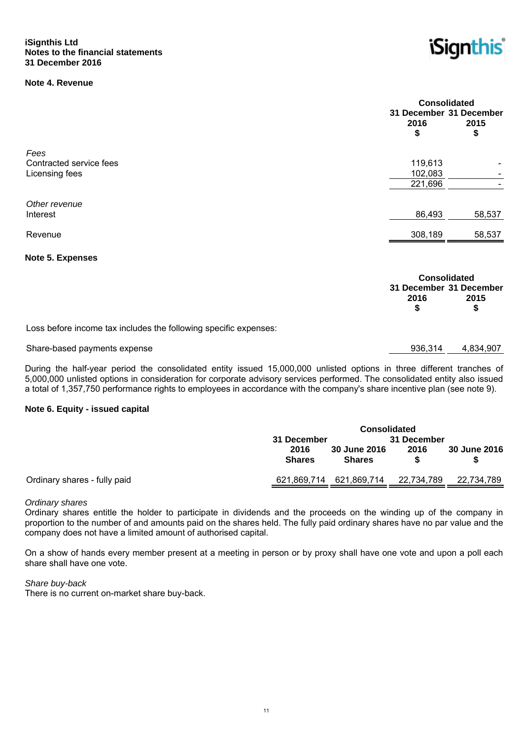# **Note 4. Revenue**



|                         |            | <b>Consolidated</b><br>31 December 31 December |  |  |
|-------------------------|------------|------------------------------------------------|--|--|
|                         | 2016<br>\$ | 2015<br>\$                                     |  |  |
| Fees                    |            |                                                |  |  |
| Contracted service fees | 119,613    |                                                |  |  |
| Licensing fees          | 102,083    |                                                |  |  |
|                         | 221,696    |                                                |  |  |
| Other revenue           |            |                                                |  |  |
| Interest                | 86,493     | 58,537                                         |  |  |
| Revenue                 | 308,189    | 58,537                                         |  |  |
|                         |            |                                                |  |  |

#### **Note 5. Expenses**

|                                                                  | <b>Consolidated</b>     |      |
|------------------------------------------------------------------|-------------------------|------|
|                                                                  | 31 December 31 December |      |
|                                                                  | 2016                    | 2015 |
|                                                                  |                         |      |
| Loss before income tax includes the following specific expenses: |                         |      |

#### Share-based payments expense 936,314 4,834,907

During the half-year period the consolidated entity issued 15,000,000 unlisted options in three different tranches of 5,000,000 unlisted options in consideration for corporate advisory services performed. The consolidated entity also issued a total of 1,357,750 performance rights to employees in accordance with the company's share incentive plan (see note 9).

# **Note 6. Equity - issued capital**

|                              | <b>Consolidated</b>        |                                      |            |              |
|------------------------------|----------------------------|--------------------------------------|------------|--------------|
|                              | 31 December<br>31 December |                                      |            |              |
|                              | 2016<br><b>Shares</b>      | <b>30 June 2016</b><br><b>Shares</b> | 2016       | 30 June 2016 |
| Ordinary shares - fully paid | 621,869,714                | 621,869,714                          | 22,734,789 | 22,734,789   |

#### *Ordinary shares*

Ordinary shares entitle the holder to participate in dividends and the proceeds on the winding up of the company in proportion to the number of and amounts paid on the shares held. The fully paid ordinary shares have no par value and the company does not have a limited amount of authorised capital.

On a show of hands every member present at a meeting in person or by proxy shall have one vote and upon a poll each share shall have one vote.

#### *Share buy-back*

There is no current on-market share buy-back.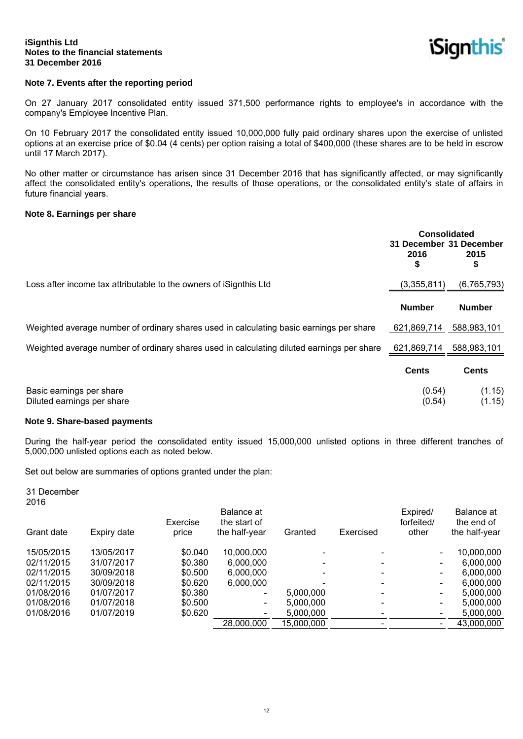**iSignthis** 

### **Note 7. Events after the reporting period**

On 27 January 2017 consolidated entity issued 371,500 performance rights to employee's in accordance with the company's Employee Incentive Plan.

On 10 February 2017 the consolidated entity issued 10,000,000 fully paid ordinary shares upon the exercise of unlisted options at an exercise price of \$0.04 (4 cents) per option raising a total of \$400,000 (these shares are to be held in escrow until 17 March 2017).

No other matter or circumstance has arisen since 31 December 2016 that has significantly affected, or may significantly affect the consolidated entity's operations, the results of those operations, or the consolidated entity's state of affairs in future financial years.

#### **Note 8. Earnings per share**

|                                                                                           | <b>Consolidated</b><br>31 December 31 December<br>2016<br>\$ | 2015<br>\$       |
|-------------------------------------------------------------------------------------------|--------------------------------------------------------------|------------------|
| Loss after income tax attributable to the owners of iSignthis Ltd                         | (3,355,811)                                                  | (6, 765, 793)    |
|                                                                                           | <b>Number</b>                                                | <b>Number</b>    |
| Weighted average number of ordinary shares used in calculating basic earnings per share   | 621,869,714                                                  | 588,983,101      |
| Weighted average number of ordinary shares used in calculating diluted earnings per share | 621,869,714                                                  | 588,983,101      |
|                                                                                           | <b>Cents</b>                                                 | <b>Cents</b>     |
| Basic earnings per share<br>Diluted earnings per share                                    | (0.54)<br>(0.54)                                             | (1.15)<br>(1.15) |

#### **Note 9. Share-based payments**

During the half-year period the consolidated entity issued 15,000,000 unlisted options in three different tranches of 5,000,000 unlisted options each as noted below.

Set out below are summaries of options granted under the plan:

31 December 2016

| Grant date | Expiry date | Exercise<br>price | Balance at<br>the start of<br>the half-year | Granted    | Exercised | Expired/<br>forfeited/<br>other | Balance at<br>the end of<br>the half-year |
|------------|-------------|-------------------|---------------------------------------------|------------|-----------|---------------------------------|-------------------------------------------|
| 15/05/2015 | 13/05/2017  | \$0.040           | 10,000,000                                  |            |           | $\overline{\phantom{0}}$        | 10,000,000                                |
| 02/11/2015 | 31/07/2017  | \$0.380           | 6,000,000                                   |            |           |                                 | 6.000.000                                 |
| 02/11/2015 | 30/09/2018  | \$0.500           | 6,000,000                                   |            |           |                                 | 6.000.000                                 |
| 02/11/2015 | 30/09/2018  | \$0.620           | 6,000,000                                   |            |           |                                 | 6.000.000                                 |
| 01/08/2016 | 01/07/2017  | \$0.380           | $\overline{\phantom{a}}$                    | 5,000,000  |           | ۰.                              | 5.000.000                                 |
| 01/08/2016 | 01/07/2018  | \$0.500           | $\blacksquare$                              | 5,000,000  |           | $\overline{\phantom{0}}$        | 5.000.000                                 |
| 01/08/2016 | 01/07/2019  | \$0.620           | $\overline{\phantom{a}}$                    | 5,000,000  |           |                                 | 5,000,000                                 |
|            |             |                   | 28,000,000                                  | 15,000,000 |           |                                 | 43,000,000                                |
|            |             |                   |                                             |            |           |                                 |                                           |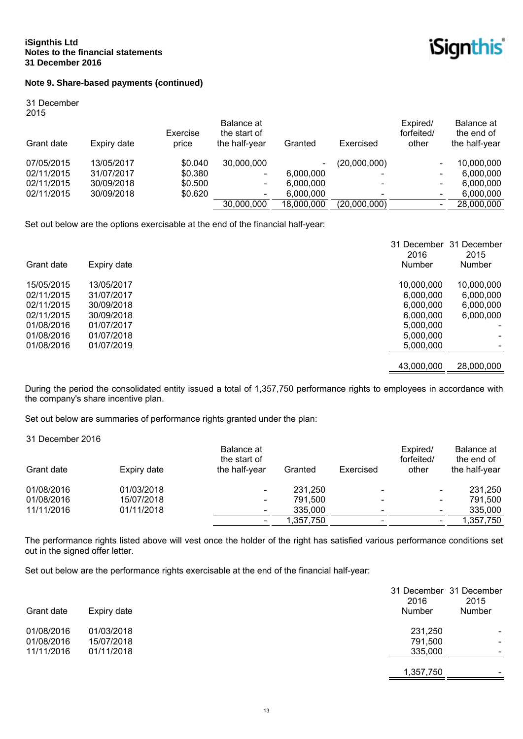

# **Note 9. Share-based payments (continued)**

31 December 2015

| ---<br>Grant date | Expiry date | Exercise<br>price | Balance at<br>the start of<br>the half-year | Granted                  | Exercised    | Expired/<br>forfeited/<br>other | Balance at<br>the end of<br>the half-year |
|-------------------|-------------|-------------------|---------------------------------------------|--------------------------|--------------|---------------------------------|-------------------------------------------|
| 07/05/2015        | 13/05/2017  | \$0.040           | 30,000,000                                  | $\overline{\phantom{0}}$ | (20,000,000) | $\overline{\phantom{0}}$        | 10,000,000                                |
| 02/11/2015        | 31/07/2017  | \$0.380           | -                                           | 6,000,000                |              |                                 | 6.000.000                                 |
| 02/11/2015        | 30/09/2018  | \$0.500           | $\overline{\phantom{a}}$                    | 6.000.000                |              | $\overline{\phantom{0}}$        | 6.000.000                                 |
| 02/11/2015        | 30/09/2018  | \$0.620           | $\overline{\phantom{a}}$                    | 6.000.000                |              | $\overline{\phantom{0}}$        | 6,000,000                                 |
|                   |             |                   | 30,000,000                                  | 18,000,000               | (20,000,000) |                                 | 28,000,000                                |
|                   |             |                   |                                             |                          |              |                                 |                                           |

Set out below are the options exercisable at the end of the financial half-year:

|            |             | 31 December<br>2016 | 31 December<br>2015 |
|------------|-------------|---------------------|---------------------|
| Grant date | Expiry date | Number              | <b>Number</b>       |
| 15/05/2015 | 13/05/2017  | 10,000,000          | 10,000,000          |
| 02/11/2015 | 31/07/2017  | 6,000,000           | 6,000,000           |
| 02/11/2015 | 30/09/2018  | 6,000,000           | 6,000,000           |
| 02/11/2015 | 30/09/2018  | 6,000,000           | 6,000,000           |
| 01/08/2016 | 01/07/2017  | 5,000,000           |                     |
| 01/08/2016 | 01/07/2018  | 5,000,000           |                     |
| 01/08/2016 | 01/07/2019  | 5.000.000           |                     |
|            |             | 43,000,000          | 28,000,000          |

During the period the consolidated entity issued a total of 1,357,750 performance rights to employees in accordance with the company's share incentive plan.

Set out below are summaries of performance rights granted under the plan:

31 December 2016

|            |             | Balance at<br>the start of | Granted   | Exercised | Expired/<br>forfeited/ | Balance at<br>the end of |
|------------|-------------|----------------------------|-----------|-----------|------------------------|--------------------------|
| Grant date | Expiry date | the half-year              |           |           | other                  | the half-year            |
| 01/08/2016 | 01/03/2018  | $\overline{\phantom{a}}$   | 231,250   |           |                        | 231,250                  |
| 01/08/2016 | 15/07/2018  | $\overline{\phantom{a}}$   | 791.500   |           |                        | 791,500                  |
| 11/11/2016 | 01/11/2018  | ۰                          | 335,000   | -         |                        | 335,000                  |
|            |             |                            | 1,357,750 |           |                        | 1,357,750                |

The performance rights listed above will vest once the holder of the right has satisfied various performance conditions set out in the signed offer letter.

Set out below are the performance rights exercisable at the end of the financial half-year:

| Grant date | Expiry date | 31 December 31 December<br>2016<br>Number | 2015<br>Number           |
|------------|-------------|-------------------------------------------|--------------------------|
| 01/08/2016 | 01/03/2018  | 231,250                                   |                          |
| 01/08/2016 | 15/07/2018  | 791,500                                   | -                        |
| 11/11/2016 | 01/11/2018  | 335,000                                   | $\overline{\phantom{0}}$ |
|            |             | 1,357,750                                 | $\overline{\phantom{0}}$ |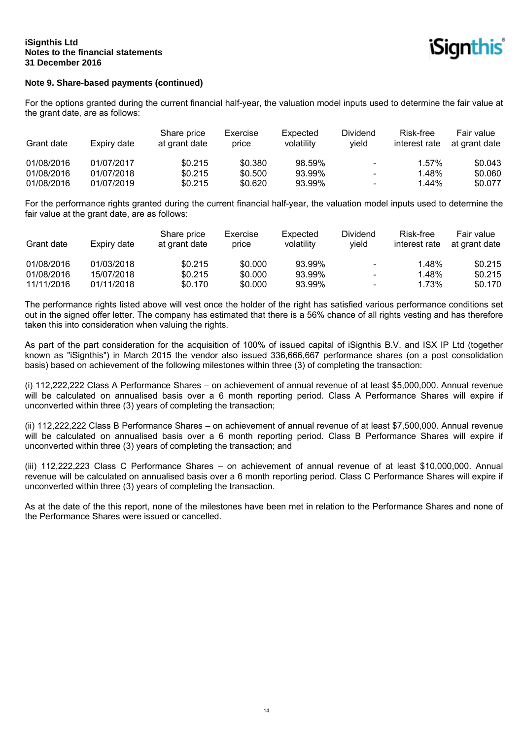# **Note 9. Share-based payments (continued)**

For the options granted during the current financial half-year, the valuation model inputs used to determine the fair value at the grant date, are as follows:

| Grant date | Expiry date | Share price<br>at grant date | Exercise<br>price | Expected<br>volatility | <b>Dividend</b><br>vield | Risk-free<br>interest rate | Fair value<br>at grant date |
|------------|-------------|------------------------------|-------------------|------------------------|--------------------------|----------------------------|-----------------------------|
| 01/08/2016 | 01/07/2017  | \$0.215                      | \$0.380           | 98.59%                 | $\overline{\phantom{a}}$ | 1.57%                      | \$0.043                     |
| 01/08/2016 | 01/07/2018  | \$0.215                      | \$0.500           | 93.99%                 | $\overline{\phantom{a}}$ | 1.48%                      | \$0.060                     |
| 01/08/2016 | 01/07/2019  | \$0.215                      | \$0.620           | 93.99%                 | $\overline{\phantom{a}}$ | $1.44\%$                   | \$0.077                     |

For the performance rights granted during the current financial half-year, the valuation model inputs used to determine the fair value at the grant date, are as follows:

| Grant date | Expiry date | Share price<br>at grant date | Exercise<br>price | Expected<br>volatility | <b>Dividend</b><br>vield | Risk-free<br>interest rate | Fair value<br>at grant date |
|------------|-------------|------------------------------|-------------------|------------------------|--------------------------|----------------------------|-----------------------------|
| 01/08/2016 | 01/03/2018  | \$0.215                      | \$0.000           | 93.99%                 | $\blacksquare$           | 1.48%                      | \$0.215                     |
| 01/08/2016 | 15/07/2018  | \$0.215                      | \$0.000           | 93.99%                 | $\overline{\phantom{a}}$ | 1.48%                      | \$0.215                     |
| 11/11/2016 | 01/11/2018  | \$0.170                      | \$0,000           | 93.99%                 | $\overline{\phantom{a}}$ | 1.73%                      | \$0.170                     |

The performance rights listed above will vest once the holder of the right has satisfied various performance conditions set out in the signed offer letter. The company has estimated that there is a 56% chance of all rights vesting and has therefore taken this into consideration when valuing the rights.

As part of the part consideration for the acquisition of 100% of issued capital of iSignthis B.V. and ISX IP Ltd (together known as "iSignthis") in March 2015 the vendor also issued 336,666,667 performance shares (on a post consolidation basis) based on achievement of the following milestones within three (3) of completing the transaction:

(i) 112,222,222 Class A Performance Shares – on achievement of annual revenue of at least \$5,000,000. Annual revenue will be calculated on annualised basis over a 6 month reporting period. Class A Performance Shares will expire if unconverted within three (3) years of completing the transaction;

(ii) 112,222,222 Class B Performance Shares – on achievement of annual revenue of at least \$7,500,000. Annual revenue will be calculated on annualised basis over a 6 month reporting period. Class B Performance Shares will expire if unconverted within three (3) years of completing the transaction; and

(iii) 112,222,223 Class C Performance Shares – on achievement of annual revenue of at least \$10,000,000. Annual revenue will be calculated on annualised basis over a 6 month reporting period. Class C Performance Shares will expire if unconverted within three (3) years of completing the transaction.

As at the date of the this report, none of the milestones have been met in relation to the Performance Shares and none of the Performance Shares were issued or cancelled.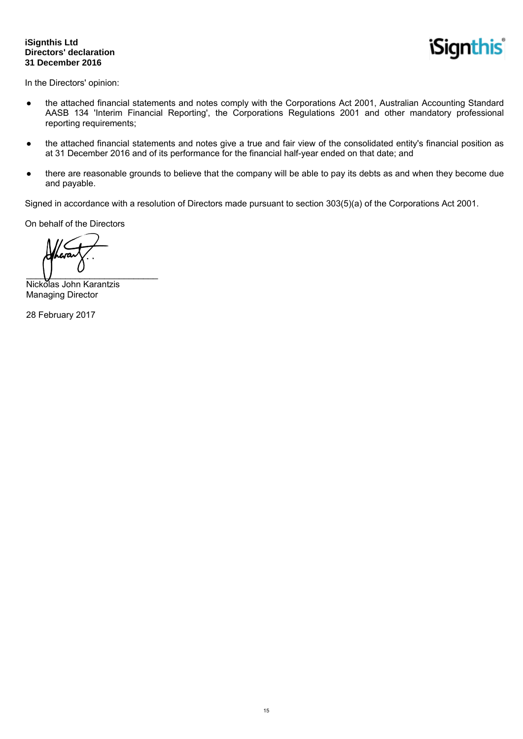### **iSignthis Ltd Directors' declaration 31 December 2016**

**iSignthis** 

In the Directors' opinion:

- the attached financial statements and notes comply with the Corporations Act 2001, Australian Accounting Standard AASB 134 'Interim Financial Reporting', the Corporations Regulations 2001 and other mandatory professional reporting requirements;
- the attached financial statements and notes give a true and fair view of the consolidated entity's financial position as at 31 December 2016 and of its performance for the financial half-year ended on that date; and
- there are reasonable grounds to believe that the company will be able to pay its debts as and when they become due and payable.

Signed in accordance with a resolution of Directors made pursuant to section 303(5)(a) of the Corporations Act 2001.

On behalf of the Directors

 $\overline{\phantom{a}}$ 

Nickolas John Karantzis Managing Director

28 February 2017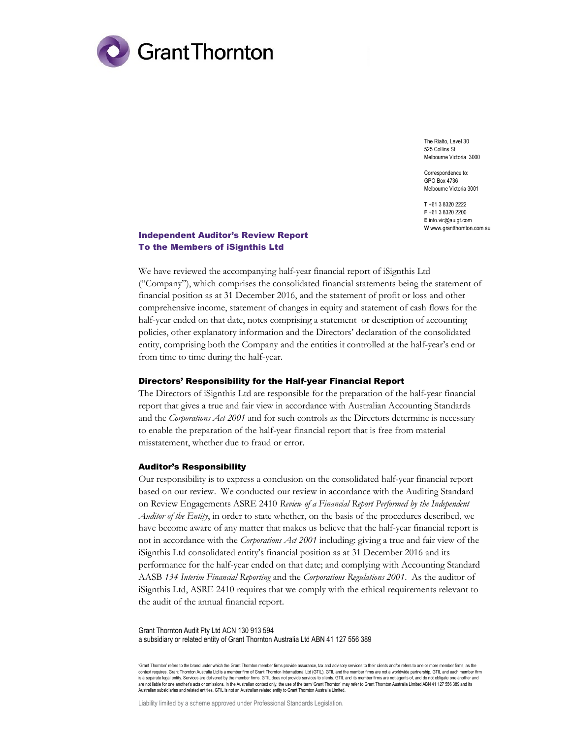

The Rialto, Level 30 525 Collins St Melbourne Victoria 3000

Correspondence to: GPO Box 4736 Melbourne Victoria 3001

T +61 3 8320 2222 F +61 3 8320 2200 E info.vic@au.gt.com W www.grantthornton.com.au

#### Independent Auditor's Review Report To the Members of iSignthis Ltd

We have reviewed the accompanying half-year financial report of iSignthis Ltd ("Company"), which comprises the consolidated financial statements being the statement of financial position as at 31 December 2016, and the statement of profit or loss and other comprehensive income, statement of changes in equity and statement of cash flows for the half-year ended on that date, notes comprising a statement or description of accounting policies, other explanatory information and the Directors' declaration of the consolidated entity, comprising both the Company and the entities it controlled at the half-year's end or from time to time during the half-year.

#### Directors' Responsibility for the Half-year Financial Report

The Directors of iSignthis Ltd are responsible for the preparation of the half-year financial report that gives a true and fair view in accordance with Australian Accounting Standards and the Corporations Act 2001 and for such controls as the Directors determine is necessary to enable the preparation of the half-year financial report that is free from material misstatement, whether due to fraud or error.

#### Auditor's Responsibility

Our responsibility is to express a conclusion on the consolidated half-year financial report based on our review. We conducted our review in accordance with the Auditing Standard on Review Engagements ASRE 2410 Review of a Financial Report Performed by the Independent Auditor of the Entity, in order to state whether, on the basis of the procedures described, we have become aware of any matter that makes us believe that the half-year financial report is not in accordance with the *Corporations Act 2001* including: giving a true and fair view of the iSignthis Ltd consolidated entity's financial position as at 31 December 2016 and its performance for the half-year ended on that date; and complying with Accounting Standard AASB 134 Interim Financial Reporting and the Corporations Regulations 2001. As the auditor of iSignthis Ltd, ASRE 2410 requires that we comply with the ethical requirements relevant to the audit of the annual financial report.

Grant Thornton Audit Pty Ltd ACN 130 913 594 a subsidiary or related entity of Grant Thornton Australia Ltd ABN 41 127 556 389

'Grant Thornton' refers to the brand under which the Grant Thornton member firms provide assurance, tax and advisory services to their clients and/or refers to one or more member firms, as the context requires. Grant Thornton Australia Ltd is a member firm of Grant Thornton International Ltd (GTIL). GTIL and the member firms are not a worldwide partnership. GTIL and each member firm<br>is a separate legal entity. S are not liable for one another's acts or omissions. In the Australian context only, the use of the term 'Grant Thornton' may refer to Grant Thornton Australia Limited ABN 41 127 556 389 and its Australian subsidiaries and related entities. GTIL is not an Australian related entity to Grant Thornton Australia Limited.